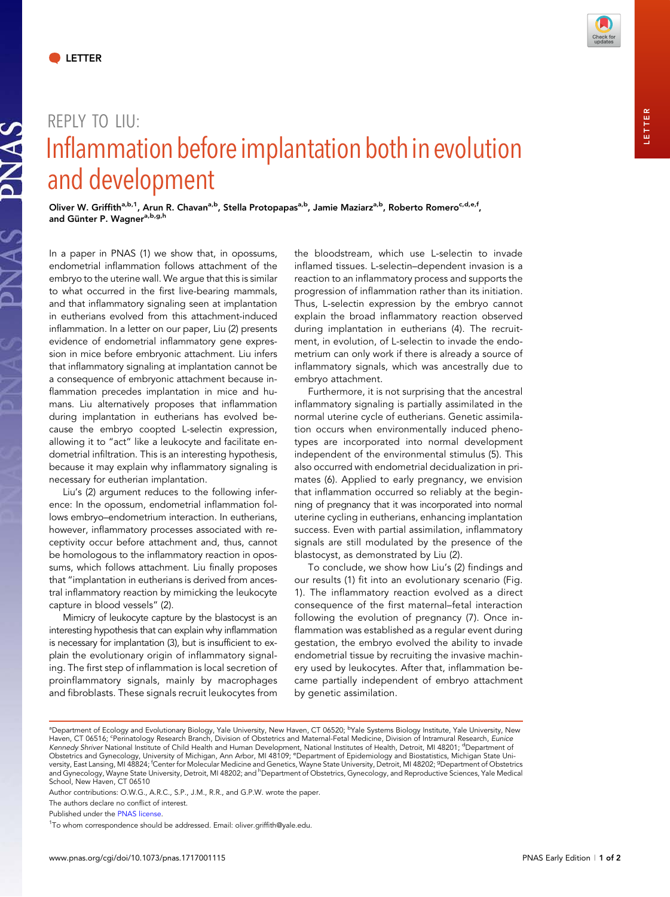**SVNAS** 

DNAS



## REPLY TO LIU: Inflammation before implantation both in evolution and development

Oliver W. Griffith<sup>a,b,1</sup>, Arun R. Chavan<sup>a,b</sup>, Stella Protopapas<sup>a,b</sup>, Jamie Maziarz<sup>a,b</sup>, Roberto Romero<sup>c,d,e,f</sup>, and Günter P. Wagner<sup>a, b, g, h</sup>

In a paper in PNAS (1) we show that, in opossums, endometrial inflammation follows attachment of the embryo to the uterine wall. We argue that this is similar to what occurred in the first live-bearing mammals, and that inflammatory signaling seen at implantation in eutherians evolved from this attachment-induced inflammation. In a letter on our paper, Liu (2) presents evidence of endometrial inflammatory gene expression in mice before embryonic attachment. Liu infers that inflammatory signaling at implantation cannot be a consequence of embryonic attachment because inflammation precedes implantation in mice and humans. Liu alternatively proposes that inflammation during implantation in eutherians has evolved because the embryo coopted L-selectin expression, allowing it to "act" like a leukocyte and facilitate endometrial infiltration. This is an interesting hypothesis, because it may explain why inflammatory signaling is necessary for eutherian implantation.

Liu's (2) argument reduces to the following inference: In the opossum, endometrial inflammation follows embryo–endometrium interaction. In eutherians, however, inflammatory processes associated with receptivity occur before attachment and, thus, cannot be homologous to the inflammatory reaction in opossums, which follows attachment. Liu finally proposes that "implantation in eutherians is derived from ancestral inflammatory reaction by mimicking the leukocyte capture in blood vessels" (2).

Mimicry of leukocyte capture by the blastocyst is an interesting hypothesis that can explain why inflammation is necessary for implantation (3), but is insufficient to explain the evolutionary origin of inflammatory signaling. The first step of inflammation is local secretion of proinflammatory signals, mainly by macrophages and fibroblasts. These signals recruit leukocytes from the bloodstream, which use L-selectin to invade inflamed tissues. L-selectin–dependent invasion is a reaction to an inflammatory process and supports the progression of inflammation rather than its initiation. Thus, L-selectin expression by the embryo cannot explain the broad inflammatory reaction observed during implantation in eutherians (4). The recruitment, in evolution, of L-selectin to invade the endometrium can only work if there is already a source of inflammatory signals, which was ancestrally due to embryo attachment.

Furthermore, it is not surprising that the ancestral inflammatory signaling is partially assimilated in the normal uterine cycle of eutherians. Genetic assimilation occurs when environmentally induced phenotypes are incorporated into normal development independent of the environmental stimulus (5). This also occurred with endometrial decidualization in primates (6). Applied to early pregnancy, we envision that inflammation occurred so reliably at the beginning of pregnancy that it was incorporated into normal uterine cycling in eutherians, enhancing implantation success. Even with partial assimilation, inflammatory signals are still modulated by the presence of the blastocyst, as demonstrated by Liu (2).

To conclude, we show how Liu's (2) findings and our results (1) fit into an evolutionary scenario (Fig. 1). The inflammatory reaction evolved as a direct consequence of the first maternal–fetal interaction following the evolution of pregnancy (7). Once inflammation was established as a regular event during gestation, the embryo evolved the ability to invade endometrial tissue by recruiting the invasive machinery used by leukocytes. After that, inflammation became partially independent of embryo attachment by genetic assimilation.

The authors declare no conflict of interest.

Published under the [PNAS license.](http://www.pnas.org/site/aboutpnas/licenses.xhtml)

ªDepartment of Ecology and Evolutionary Biology, Yale University, New Haven, CT 06520; <sup>b</sup>Yale Systems Biology Institute, Yale University, New<br>Haven, CT 06516; <sup>c</sup>Perinatology Research Branch, Division of Obstetrics and Ma Kennedy Shriver National Institute of Child Health and Human Development, National Institutes of Health, Detroit, MI 48201; <sup>d</sup>Department of Obstetrics and Gynecology, University of Michigan, Ann Arbor, MI 48109; °Department of Epidemiology and Biostatistics, Michigan State University, East Lansing, MI 48824; <sup>f</sup>Center for Molecular Medicine and Genetics, Wayne State University, Detroit, MI 48202; <sup>9</sup>Department of Obstetrics and Gynecology, Wayne State University, Detroit, MI 48202; and <sup>h</sup>Department of Obstetrics, Gynecology, and Reproductive Sciences, Yale Medical School, New Haven, CT 06510

Author contributions: O.W.G., A.R.C., S.P., J.M., R.R., and G.P.W. wrote the paper.

<sup>&</sup>lt;sup>1</sup>To whom correspondence should be addressed. Email: [oliver.griffith@yale.edu.](mailto:oliver.griffith@yale.edu)